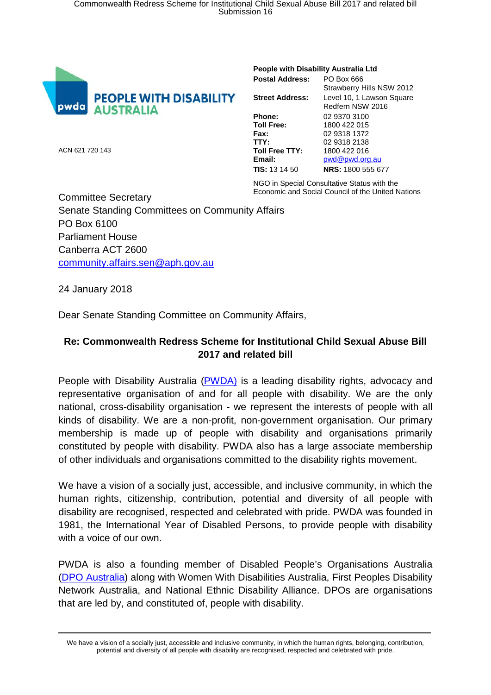

## **People with Disability Australia Ltd**

| <b>Postal Address:</b> | PO Box 666                |
|------------------------|---------------------------|
|                        | Strawberry Hills NSW 2012 |
| <b>Street Address:</b> | Level 10, 1 Lawson Square |
|                        | Redfern NSW 2016          |
| Phone:                 | 02 9370 3100              |
| <b>Toll Free:</b>      | 1800 422 015              |
| Fax:                   | 02 9318 1372              |
| TTY:                   | 02 9318 2138              |
| <b>Toll Free TTY:</b>  | 1800 422 016              |
| Email:                 | pwd@pwd.org.au            |
| <b>TIS:</b> 13 14 50   | <b>NRS: 1800 555 677</b>  |
|                        |                           |

NGO in Special Consultative Status with the

Economic and Social Council of the United Nations Committee Secretary Senate Standing Committees on Community Affairs PO Box 6100 Parliament House Canberra ACT 2600 [community.affairs.sen@aph.gov.au](mailto:community.affairs.sen@aph.gov.au)

24 January 2018

ACN 621 720 143

Dear Senate Standing Committee on Community Affairs,

## **Re: Commonwealth Redress Scheme for Institutional Child Sexual Abuse Bill 2017 and related bill**

People with Disability Australia [\(PWDA\)](http://www.pwd.org.au/) is a leading disability rights, advocacy and representative organisation of and for all people with disability. We are the only national, cross-disability organisation - we represent the interests of people with all kinds of disability. We are a non-profit, non-government organisation. Our primary membership is made up of people with disability and organisations primarily constituted by people with disability. PWDA also has a large associate membership of other individuals and organisations committed to the disability rights movement.

We have a vision of a socially just, accessible, and inclusive community, in which the human rights, citizenship, contribution, potential and diversity of all people with disability are recognised, respected and celebrated with pride. PWDA was founded in 1981, the International Year of Disabled Persons, to provide people with disability with a voice of our own.

PWDA is also a founding member of Disabled People's Organisations Australia [\(DPO Australia\)](http://dpoa.org.au/) along with Women With Disabilities Australia, First Peoples Disability Network Australia, and National Ethnic Disability Alliance. DPOs are organisations that are led by, and constituted of, people with disability.

We have a vision of a socially just, accessible and inclusive community, in which the human rights, belonging, contribution, potential and diversity of all people with disability are recognised, respected and celebrated with pride.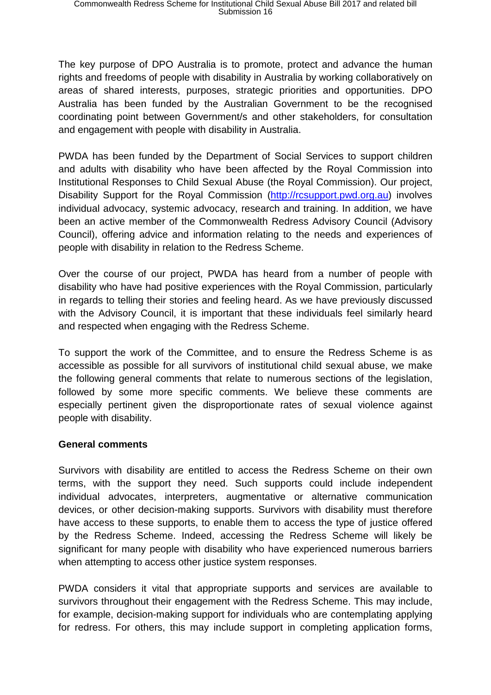The key purpose of DPO Australia is to promote, protect and advance the human rights and freedoms of people with disability in Australia by working collaboratively on areas of shared interests, purposes, strategic priorities and opportunities. DPO Australia has been funded by the Australian Government to be the recognised coordinating point between Government/s and other stakeholders, for consultation and engagement with people with disability in Australia.

PWDA has been funded by the Department of Social Services to support children and adults with disability who have been affected by the Royal Commission into Institutional Responses to Child Sexual Abuse (the Royal Commission). Our project, Disability Support for the Royal Commission [\(http://rcsupport.pwd.org.au\)](http://rcsupport.pwd.org.au/) involves individual advocacy, systemic advocacy, research and training. In addition, we have been an active member of the Commonwealth Redress Advisory Council (Advisory Council), offering advice and information relating to the needs and experiences of people with disability in relation to the Redress Scheme.

Over the course of our project, PWDA has heard from a number of people with disability who have had positive experiences with the Royal Commission, particularly in regards to telling their stories and feeling heard. As we have previously discussed with the Advisory Council, it is important that these individuals feel similarly heard and respected when engaging with the Redress Scheme.

To support the work of the Committee, and to ensure the Redress Scheme is as accessible as possible for all survivors of institutional child sexual abuse, we make the following general comments that relate to numerous sections of the legislation, followed by some more specific comments. We believe these comments are especially pertinent given the disproportionate rates of sexual violence against people with disability.

## **General comments**

Survivors with disability are entitled to access the Redress Scheme on their own terms, with the support they need. Such supports could include independent individual advocates, interpreters, augmentative or alternative communication devices, or other decision-making supports. Survivors with disability must therefore have access to these supports, to enable them to access the type of justice offered by the Redress Scheme. Indeed, accessing the Redress Scheme will likely be significant for many people with disability who have experienced numerous barriers when attempting to access other justice system responses.

PWDA considers it vital that appropriate supports and services are available to survivors throughout their engagement with the Redress Scheme. This may include, for example, decision-making support for individuals who are contemplating applying for redress. For others, this may include support in completing application forms,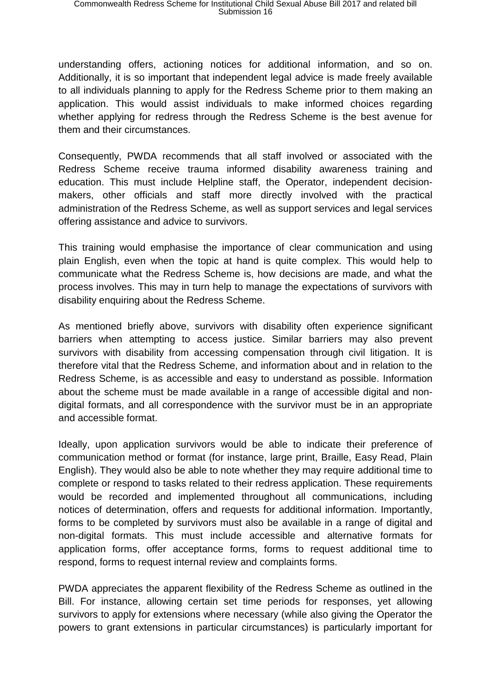understanding offers, actioning notices for additional information, and so on. Additionally, it is so important that independent legal advice is made freely available to all individuals planning to apply for the Redress Scheme prior to them making an application. This would assist individuals to make informed choices regarding whether applying for redress through the Redress Scheme is the best avenue for them and their circumstances.

Consequently, PWDA recommends that all staff involved or associated with the Redress Scheme receive trauma informed disability awareness training and education. This must include Helpline staff, the Operator, independent decisionmakers, other officials and staff more directly involved with the practical administration of the Redress Scheme, as well as support services and legal services offering assistance and advice to survivors.

This training would emphasise the importance of clear communication and using plain English, even when the topic at hand is quite complex. This would help to communicate what the Redress Scheme is, how decisions are made, and what the process involves. This may in turn help to manage the expectations of survivors with disability enquiring about the Redress Scheme.

As mentioned briefly above, survivors with disability often experience significant barriers when attempting to access justice. Similar barriers may also prevent survivors with disability from accessing compensation through civil litigation. It is therefore vital that the Redress Scheme, and information about and in relation to the Redress Scheme, is as accessible and easy to understand as possible. Information about the scheme must be made available in a range of accessible digital and nondigital formats, and all correspondence with the survivor must be in an appropriate and accessible format.

Ideally, upon application survivors would be able to indicate their preference of communication method or format (for instance, large print, Braille, Easy Read, Plain English). They would also be able to note whether they may require additional time to complete or respond to tasks related to their redress application. These requirements would be recorded and implemented throughout all communications, including notices of determination, offers and requests for additional information. Importantly, forms to be completed by survivors must also be available in a range of digital and non-digital formats. This must include accessible and alternative formats for application forms, offer acceptance forms, forms to request additional time to respond, forms to request internal review and complaints forms.

PWDA appreciates the apparent flexibility of the Redress Scheme as outlined in the Bill. For instance, allowing certain set time periods for responses, yet allowing survivors to apply for extensions where necessary (while also giving the Operator the powers to grant extensions in particular circumstances) is particularly important for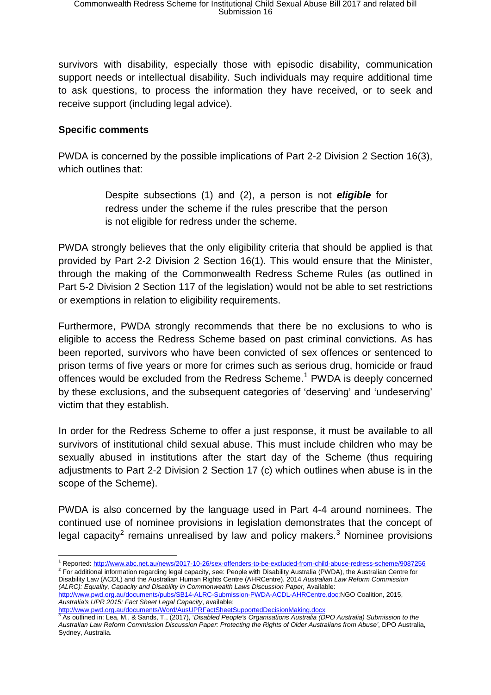survivors with disability, especially those with episodic disability, communication support needs or intellectual disability. Such individuals may require additional time to ask questions, to process the information they have received, or to seek and receive support (including legal advice).

## **Specific comments**

PWDA is concerned by the possible implications of Part 2-2 Division 2 Section 16(3), which outlines that:

> Despite subsections (1) and (2), a person is not *eligible* for redress under the scheme if the rules prescribe that the person is not eligible for redress under the scheme.

PWDA strongly believes that the only eligibility criteria that should be applied is that provided by Part 2-2 Division 2 Section 16(1). This would ensure that the Minister, through the making of the Commonwealth Redress Scheme Rules (as outlined in Part 5-2 Division 2 Section 117 of the legislation) would not be able to set restrictions or exemptions in relation to eligibility requirements.

Furthermore, PWDA strongly recommends that there be no exclusions to who is eligible to access the Redress Scheme based on past criminal convictions. As has been reported, survivors who have been convicted of sex offences or sentenced to prison terms of five years or more for crimes such as serious drug, homicide or fraud offences would be excluded from the Redress Scheme.<sup>[1](#page-3-0)</sup> PWDA is deeply concerned by these exclusions, and the subsequent categories of 'deserving' and 'undeserving' victim that they establish.

In order for the Redress Scheme to offer a just response, it must be available to all survivors of institutional child sexual abuse. This must include children who may be sexually abused in institutions after the start day of the Scheme (thus requiring adjustments to Part 2-2 Division 2 Section 17 (c) which outlines when abuse is in the scope of the Scheme).

PWDA is also concerned by the language used in Part 4-4 around nominees. The continued use of nominee provisions in legislation demonstrates that the concept of legal capacity<sup>[2](#page-3-1)</sup> remains unrealised by law and policy makers.<sup>[3](#page-3-2)</sup> Nominee provisions

<http://www.pwd.org.au/documents/Word/AusUPRFactSheetSupportedDecisionMaking.docx>

<span id="page-3-0"></span> <sup>1</sup> Reported[: http://www.abc.net.au/news/2017-10-26/sex-offenders-to-be-excluded-from-child-abuse-redress-scheme/9087256](http://www.abc.net.au/news/2017-10-26/sex-offenders-to-be-excluded-from-child-abuse-redress-scheme/9087256)

<span id="page-3-1"></span><sup>&</sup>lt;sup>2</sup> For additional information regarding legal capacity, see: People with Disability Australia (PWDA), the Australian Centre for Disability Law (ACDL) and the Australian Human Rights Centre (AHRCentre). 2014 *Australian Law Reform Commission*  (ALRC): Equality, Capacity and Disability in Commonwealth Laws Discussion Paper, Available:

[http://www.pwd.org.au/documents/pubs/SB14-ALRC-Submission-PWDA-ACDL-AHRCentre.doc;](http://www.pwd.org.au/documents/pubs/SB14-ALRC-Submission-PWDA-ACDL-AHRCentre.doc)NGO Coalition, 2015, *Australia's UPR 2015: Fact Sheet Legal Capacity*, available:

<span id="page-3-2"></span><sup>3</sup> As outlined in: Lea, M., & Sands, T., (2017), '*Disabled People's Organisations Australia (DPO Australia) Submission to the Australian Law Reform Commission Discussion Paper: Protecting the Rights of Older Australians from Abuse'*, DPO Australia, Sydney, Australia.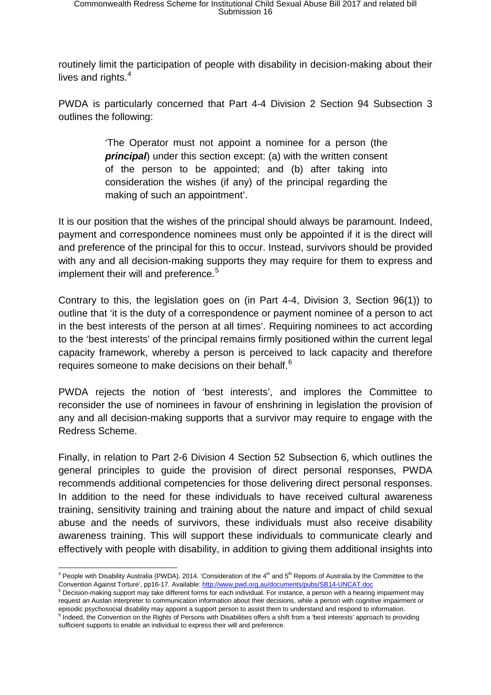routinely limit the participation of people with disability in decision-making about their lives and rights.<sup>[4](#page-4-0)</sup>

PWDA is particularly concerned that Part 4-4 Division 2 Section 94 Subsection 3 outlines the following:

> 'The Operator must not appoint a nominee for a person (the *principal*) under this section except: (a) with the written consent of the person to be appointed; and (b) after taking into consideration the wishes (if any) of the principal regarding the making of such an appointment'.

It is our position that the wishes of the principal should always be paramount. Indeed, payment and correspondence nominees must only be appointed if it is the direct will and preference of the principal for this to occur. Instead, survivors should be provided with any and all decision-making supports they may require for them to express and implement their will and preference. [5](#page-4-1)

Contrary to this, the legislation goes on (in Part 4-4, Division 3, Section 96(1)) to outline that 'it is the duty of a correspondence or payment nominee of a person to act in the best interests of the person at all times'. Requiring nominees to act according to the 'best interests' of the principal remains firmly positioned within the current legal capacity framework, whereby a person is perceived to lack capacity and therefore requires someone to make decisions on their behalf.<sup>[6](#page-4-2)</sup>

PWDA rejects the notion of 'best interests', and implores the Committee to reconsider the use of nominees in favour of enshrining in legislation the provision of any and all decision-making supports that a survivor may require to engage with the Redress Scheme.

Finally, in relation to Part 2-6 Division 4 Section 52 Subsection 6, which outlines the general principles to guide the provision of direct personal responses, PWDA recommends additional competencies for those delivering direct personal responses. In addition to the need for these individuals to have received cultural awareness training, sensitivity training and training about the nature and impact of child sexual abuse and the needs of survivors, these individuals must also receive disability awareness training. This will support these individuals to communicate clearly and effectively with people with disability, in addition to giving them additional insights into

<span id="page-4-0"></span> $4$  People with Disability Australia (PWDA), 2014. 'Consideration of the  $4<sup>th</sup>$  and 5<sup>th</sup> Reports of Australia by the Committee to the Convention Against Torture', pp16-17. Available[: http://www.pwd.org.au/documents/pubs/SB14-UNCAT.doc](http://www.pwd.org.au/documents/pubs/SB14-UNCAT.doc)

<span id="page-4-2"></span><span id="page-4-1"></span><sup>5</sup> Decision-making support may take different forms for each individual. For instance, a person with a hearing impairment may request an Auslan interpreter to communication information about their decisions, while a person with cognitive impairment or episodic psychosocial disability may appoint a support person to assist them to understand and respond to information. <sup>6</sup> Indeed, the Convention on the Rights of Persons with Disabilities offers a shift from a 'best interests' approach to providing sufficient supports to enable an individual to express their will and preference.